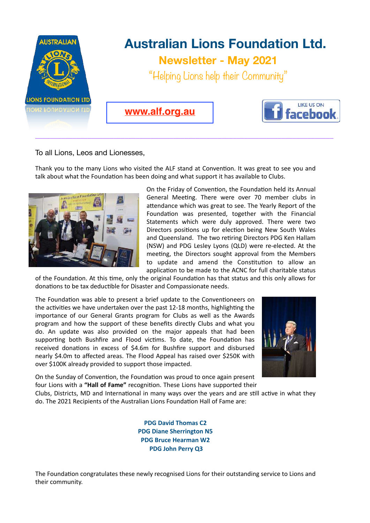

To all Lions, Leos and Lionesses,

Thank you to the many Lions who visited the ALF stand at Convention. It was great to see you and talk about what the Foundation has been doing and what support it has available to Clubs.



On the Friday of Convention, the Foundation held its Annual General Meeting. There were over 70 member clubs in attendance which was great to see. The Yearly Report of the Foundation was presented, together with the Financial Statements which were duly approved. There were two Directors positions up for election being New South Wales and Queensland. The two retiring Directors PDG Ken Hallam (NSW) and PDG Lesley Lyons (QLD) were re-elected. At the meeting, the Directors sought approval from the Members to update and amend the Constitution to allow an application to be made to the ACNC for full charitable status

of the Foundation. At this time, only the original Foundation has that status and this only allows for donations to be tax deductible for Disaster and Compassionate needs.

The Foundation was able to present a brief update to the Conventioneers on the activities we have undertaken over the past 12-18 months, highlighting the importance of our General Grants program for Clubs as well as the Awards program and how the support of these benefits directly Clubs and what you do. An update was also provided on the major appeals that had been supporting both Bushfire and Flood victims. To date, the Foundation has received donations in excess of \$4.6m for Bushfire support and disbursed nearly \$4.0m to affected areas. The Flood Appeal has raised over \$250K with over \$100K already provided to support those impacted.



On the Sunday of Convention, the Foundation was proud to once again present four Lions with a "Hall of Fame" recognition. These Lions have supported their

Clubs, Districts, MD and International in many ways over the years and are still active in what they do. The 2021 Recipients of the Australian Lions Foundation Hall of Fame are:

> **PDG David Thomas C2 PDG Diane Sherrington N5 PDG Bruce Hearman W2 PDG John Perry Q3**

The Foundation congratulates these newly recognised Lions for their outstanding service to Lions and their community.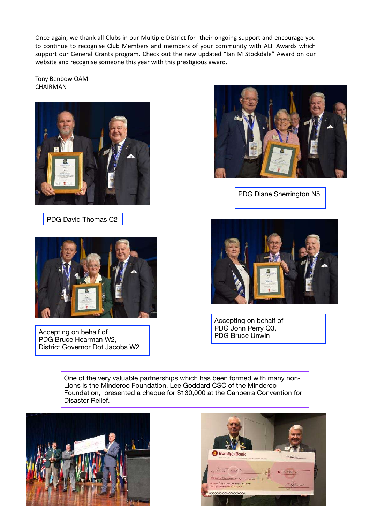Once again, we thank all Clubs in our Multiple District for their ongoing support and encourage you to continue to recognise Club Members and members of your community with ALF Awards which support our General Grants program. Check out the new updated "Ian M Stockdale" Award on our website and recognise someone this year with this prestigious award.

Tony Benbow OAM CHAIRMAN



PDG David Thomas C2



Accepting on behalf of PDG Bruce Hearman W2, District Governor Dot Jacobs W2



PDG Diane Sherrington N5



Accepting on behalf of PDG John Perry Q3, PDG Bruce Unwin

One of the very valuable partnerships which has been formed with many non-Lions is the Minderoo Foundation. Lee Goddard CSC of the Minderoo Foundation, presented a cheque for \$130,000 at the Canberra Convention for Disaster Relief.



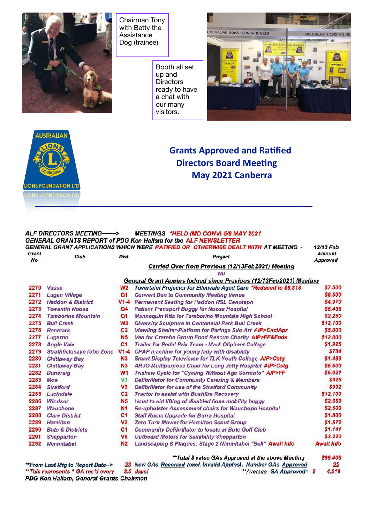

Chairman Tony with Betty the Assistance Dog (trainee)

> Booth all set up and **Directors** ready to have a chat with our many visitors.





## **Grants Approved and Ratified Directors Board Meeting May 2021 Canberra**

## **ALF DIRECTORS MEETING-------> MEETINGS \*HELD (MD CONV) 5/8 MAY 2021 GENERAL GRANTS REPORT of PDG Ken Hallam for the ALF NEWSLETTER** GENERAL GRANT APPLICATIONS WHICH WERE RATIFIED OR OTHERWISE DEALT WITH AT MEETING -12/13 Feb Grant **Amount** Club **Dist** Project **No** Approved Carried Over from Previous (12/13Feb2021) Meeting MH General Grant Appins lodged since Previous (12/13Feb2021) Meeting \$7,500 2270 Vasse  $W<sub>2</sub>$ Tovertafel Projector for Ellenvale Aged Care \*Reduced to \$6,818 2271 Logan Village  $Q<sub>1</sub>$ **Convert Den to Community Meeting Venue** \$8,500 2272 Haddon & District V1-4 Permanent Seating for Haddon RSL Cenotaph \$4,970 2273 Tewantin Noosa \$5,435  $Q4$ **Patient Transport Buggy for Noosa Hospital** 2274 Tamborine Mountain  $Q1$ **Mannequin Kits for Tamborine Mountain High School** \$2,280 2275 Bull Creek  $W<sub>2</sub>$ Diversity Sculpture in Centennial Park Bull Creek \$12,100 2276 Renmark  $C<sub>2</sub>$ Viewilng Shelter-Platform for Paringa Silo Art AIP>CnclApr \$5,000 2277 Lugarno **N5** Van for Crateful Group Food Rescue Charity AIP>FF&Fnds \$12.000  $C<sub>1</sub>$ \$1,925 2278 Angle Vale Trailer for Pedal Prix Team - Mark Oliphant College 2279 Strathfieldsaye (obo Zone  $V1-4$ CPAP machine for young lady with disability \$784 2280 **Chittaway Bay**  $N<sub>3</sub>$ **Smart Display Television for TLK Youth College AIP>Cstg** \$1,483 2281 **N3** \$5,500 **Chittaway Bay** ARJO Multipurpose Chair for Long Jetty Hospital AIP>Cstg 2282 **Duncraig**  $W1$ Trishaw Cycle for "Cycling Without Age Sorrento" AIP>FF \$5,021 2283 Moe  $V<sub>3</sub>$ **Defibrillator for Community Catering & Members** \$926  $7784$ **Stratford**  $V3$ Defibrillator for use of the Stratford Community \$992 2285 Lucindale  $C<sub>2</sub>$ **Tractor to assist with Bushfire Recovery** \$12.100 2286 Windsor \$2.659 **N5** Hoist to aid lifting of disabled lions mobility buggy \$2,500 2287 **Wauchope N1** Re-upholster Assessment chairs for Wauchope Hospital 2288 **Clare District**  $C<sub>1</sub>$ **Staff Room Upgrade for Burra Hospital** \$1,800 2289 **Hamilton** V<sub>2</sub> **Zero Turn Mower for Hamilton Scout Group** \$1.572 2290 **Bute & Districts**  $C<sub>1</sub>$  $$1,141$ **Community Defibrillator to locate at Bute Golf Club Outboard Motors for Sailability Shepparton** \$3.220 2291 Shepparton  $V<sub>5</sub>$ Landscaping & Plaques: Stage 2 Nimmitabel "Bell" Await Info 2292 Nimmitabel N<sub>2</sub> **Await Info** \*\*Total \$ value GAs Approved at the above Meeting \$99,408

23 New GAs Received (excl. Invalid Appins). Number GAs Approved: 22 \*\*From Last Mtg to Report Date--> \*\* This represents 1 GA rec'd every  $3.5$  days! \*\*Average\_GA Approved= \$ 4,519 PDG Ken Hallam, General Grants Chairman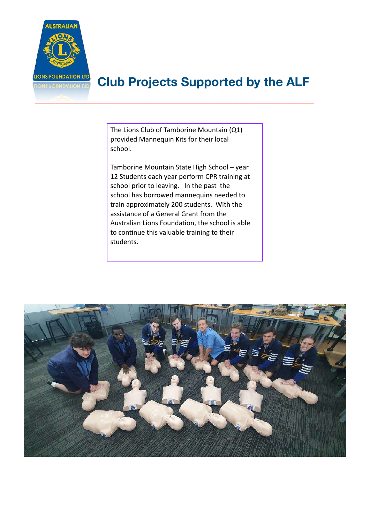

## **Club Projects Supported by the ALF**

The Lions Club of Tamborine Mountain (Q1) provided Mannequin Kits for their local school.

\_\_\_\_\_\_\_\_\_\_\_\_\_\_\_\_\_\_\_\_\_\_\_\_\_\_\_\_\_\_\_\_\_\_\_\_\_\_\_\_\_\_\_\_\_\_\_\_\_\_\_\_\_\_\_\_\_\_\_\_\_\_\_\_\_\_\_\_\_\_\_\_\_\_\_\_\_\_\_\_\_\_

Tamborine Mountain State High School – year 12 Students each year perform CPR training at school prior to leaving. In the past the school has borrowed mannequins needed to train approximately 200 students. With the assistance of a General Grant from the Australian Lions Foundation, the school is able to continue this valuable training to their students.